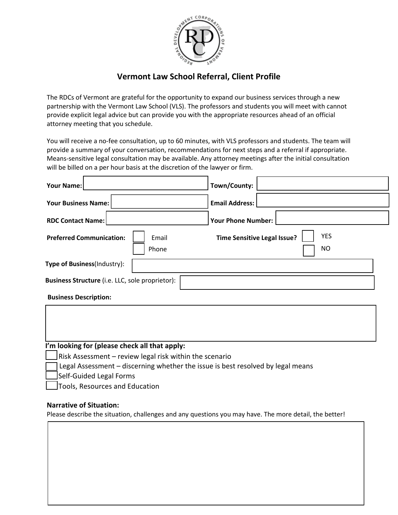

## **Vermont Law School Referral, Client Profile**

The RDCs of Vermont are grateful for the opportunity to expand our business services through a new partnership with the Vermont Law School (VLS). The professors and students you will meet with cannot provide explicit legal advice but can provide you with the appropriate resources ahead of an official attorney meeting that you schedule.

You will receive a no-fee consultation, up to 60 minutes, with VLS professors and students. The team will provide a summary of your conversation, recommendations for next steps and a referral if appropriate. Means-sensitive legal consultation may be available. Any attorney meetings after the initial consultation will be billed on a per hour basis at the discretion of the lawyer or firm.

| <b>Your Name:</b>                                 | Town/County:                                    |
|---------------------------------------------------|-------------------------------------------------|
| <b>Your Business Name:</b>                        | <b>Email Address:</b>                           |
| <b>RDC Contact Name:</b>                          | <b>Your Phone Number:</b>                       |
| <b>Preferred Communication:</b><br>Email<br>Phone | <b>YES</b><br>Time Sensitive Legal Issue?<br>NO |
| Type of Business(Industry):                       |                                                 |
| Business Structure (i.e. LLC, sole proprietor):   |                                                 |
| <b>Business Description:</b>                      |                                                 |
|                                                   |                                                 |

| I'm looking for (please check all that apply: |                                                                                                          |
|-----------------------------------------------|----------------------------------------------------------------------------------------------------------|
|                                               | $\Box$ Risk Assessment – review legal risk within the scenario                                           |
|                                               | $\overline{\phantom{a}}$ Legal Assessment – discerning whether the issue is best resolved by legal means |
|                                               | Self-Guided Legal Forms                                                                                  |
|                                               | Tools, Resources and Education                                                                           |

## **Narrative of Situation:**

Please describe the situation, challenges and any questions you may have. The more detail, the better!